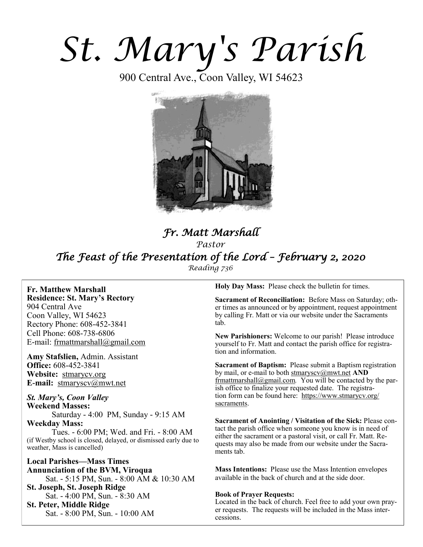# *St. Mary's Parish*

900 Central Ave., Coon Valley, WI 54623



# *Fr. Matt Marshall Pastor The Feast of the Presentation of the Lord – February 2, 2020 Reading 736*

**Fr. Matthew Marshall Residence: St. Mary's Rectory** 904 Central Ave Coon Valley, WI 54623 Rectory Phone: 608-452-3841 Cell Phone: 608-738-6806 E-mail: [frmattmarshall@gmail.com](mailto:frmattmarshall@gmail.com)

**Amy Stafslien,** Admin. Assistant **Office:** 608-452-3841 **Website:** <stmarycv.org> **E-mail:** [stmaryscv@mwt.net](mailto:stmaryscv@mwt.net)

*St. Mary's, Coon Valley*  **Weekend Masses:** Saturday - 4:00 PM, Sunday - 9:15 AM **Weekday Mass:** 

Tues. - 6:00 PM; Wed. and Fri. - 8:00 AM (if Westby school is closed, delayed, or dismissed early due to weather, Mass is cancelled)

**Local Parishes—Mass Times Annunciation of the BVM, Viroqua** Sat. - 5:15 PM, Sun. - 8:00 AM & 10:30 AM **St. Joseph, St. Joseph Ridge** Sat. - 4:00 PM, Sun. - 8:30 AM **St. Peter, Middle Ridge** Sat. - 8:00 PM, Sun. - 10:00 AM

**Holy Day Mass:** Please check the bulletin for times.

**Sacrament of Reconciliation:** Before Mass on Saturday; other times as announced or by appointment, request appointment by calling Fr. Matt or via our website under the Sacraments tab.

**New Parishioners:** Welcome to our parish! Please introduce yourself to Fr. Matt and contact the parish office for registration and information.

**Sacrament of Baptism:** Please submit a Baptism registration by mail, or e-mail to both [stmaryscv@mwt.net](mailto:stmaryscv@mwt.net) **AND** [frmattmarshall@gmail.com](mailto:frmattmarshall@gmail.com)*.* You will be contacted by the parish office to finalize your requested date. The registration form can be found here: [https://www.stmarycv.org/](https://www.stmarycv.org/sacraments) [sacraments.](https://www.stmarycv.org/sacraments) 

**Sacrament of Anointing / Visitation of the Sick:** Please contact the parish office when someone you know is in need of either the sacrament or a pastoral visit, or call Fr. Matt. Requests may also be made from our website under the Sacraments tab.

**Mass Intentions:** Please use the Mass Intention envelopes available in the back of church and at the side door.

#### **Book of Prayer Requests:**

Located in the back of church. Feel free to add your own prayer requests. The requests will be included in the Mass intercessions.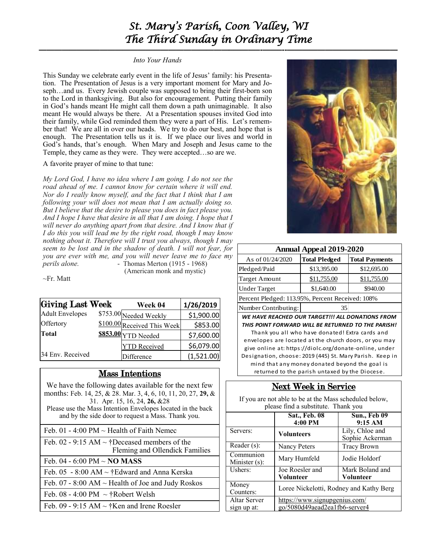# *St. Mary's Parish, Coon Valley, WI The Third Sunday in Ordinary Time*

#### *Into Your Hands*

This Sunday we celebrate early event in the life of Jesus' family: his Presentation. The Presentation of Jesus is a very important moment for Mary and Joseph…and us. Every Jewish couple was supposed to bring their first-born son to the Lord in thanksgiving. But also for encouragement. Putting their family in God's hands meant He might call them down a path unimaginable. It also meant He would always be there. At a Presentation spouses invited God into their family, while God reminded them they were a part of His. Let's remember that! We are all in over our heads. We try to do our best, and hope that is enough. The Presentation tells us it is. If we place our lives and world in God's hands, that's enough. When Mary and Joseph and Jesus came to the Temple, they came as they were. They were accepted…so are we.

#### A favorite prayer of mine to that tune:

*My Lord God, I have no idea where I am going. I do not see the road ahead of me. I cannot know for certain where it will end. Nor do I really know myself, and the fact that I think that I am following your will does not mean that I am actually doing so. But I believe that the desire to please you does in fact please you. And I hope I have that desire in all that I am doing. I hope that I will never do anything apart from that desire. And I know that if I do this you will lead me by the right road, though I may know nothing about it. Therefore will I trust you always, though I may seem to be lost and in the shadow of death. I will not fear, for you are ever with me, and you will never leave me to face my perils alone. -* Thomas Merton (1915 - 1968)

(American monk and mystic)

~Fr. Matt

| Giving Last Week       | Week 04                     | 1/26/2019  |
|------------------------|-----------------------------|------------|
| <b>Adult Envelopes</b> | \$753.00 Needed Weekly      | \$1,900.00 |
| Offertory              | \$100.00 Received This Week | \$853.00   |
| Total                  | S853.00 YTD Needed          | \$7,600.00 |
|                        | <b>YTD</b> Received         | \$6,079.00 |
| 34 Env. Received       | Difference                  | (1,521.00) |

## Mass Intentions

We have the following dates available for the next few months: Feb. 14, 25, & 28. Mar. 3, 4, 6, 10, 11, 20, 27, **29,** & 31. Apr. 15, 16, 24, **26,** &28 Please use the Mass Intention Envelopes located in the back and by the side door to request a Mass. Thank you.

Feb. 01 - 4:00 PM  $\sim$  Health of Faith Nemec

| Feb. 02 - 9:15 AM $\sim$ †Deceased members of the      |
|--------------------------------------------------------|
| Fleming and Ollendick Families                         |
| Feb. 04 - 6:00 PM $\sim$ NO MASS                       |
| Feb. 05 - 8:00 AM $\sim$ †Edward and Anna Kerska       |
| Feb. 07 - 8:00 AM $\sim$ Health of Joe and Judy Roskos |
| Feb. 08 - 4:00 PM $\sim$ †Robert Welsh                 |
| Feb. 09 - 9:15 AM $\sim$ †Ken and Irene Roesler        |



| <b>Annual Appeal 2019-2020</b>                   |                      |                       |  |  |
|--------------------------------------------------|----------------------|-----------------------|--|--|
| As of 01/24/2020                                 | <b>Total Pledged</b> | <b>Total Payments</b> |  |  |
| Pledged/Paid                                     | \$13,395.00          | \$12,695.00           |  |  |
| <b>Target Amount</b>                             | \$11,755.00          | \$11,755.00           |  |  |
| <b>Under Target</b>                              | \$1,640.00           | \$940.00              |  |  |
| Percent Pledged: 113.95%, Percent Received: 108% |                      |                       |  |  |
|                                                  |                      |                       |  |  |

Number Contributing: 35

*WE HAVE REACHED OUR TARGET!!! ALL DONATIONS FROM THIS POINT FORWARD WILL BE RETURNED TO THE PARISH!*  Thank you all who have donated! Extra cards and envelopes are located at the church doors, or you may give online at: https://diolc.org/donate-online, under Designation, choose: 2019 (445) St. Mary Parish. Keep in mind that any money donated beyond the goal is returned to the parish untaxed by the Diocese.

# Next Week in Service

If you are not able to be at the Mass scheduled below, please find a substitute. Thank you

|                             | Sat., Feb. 08<br>4:00 PM                                       | <b>Sun., Feb 09</b><br>9:15 AM     |
|-----------------------------|----------------------------------------------------------------|------------------------------------|
| Servers:                    | <b>Volunteers</b>                                              | Lily, Chloe and<br>Sophie Ackerman |
| Reader (s):                 | Nancy Peters                                                   | <b>Tracy Brown</b>                 |
| Communion<br>Minister (s):  | Mary Humfeld                                                   | Jodie Holdorf                      |
| Ushers:                     | Joe Roesler and<br><b>Volunteer</b>                            | Mark Boland and<br>Volunteer       |
| Money<br>Counters:          | Loree Nickelotti, Rodney and Kathy Berg                        |                                    |
| Altar Server<br>sign up at: | https://www.signupgenius.com/<br>go/5080d49aead2ea1fb6-server4 |                                    |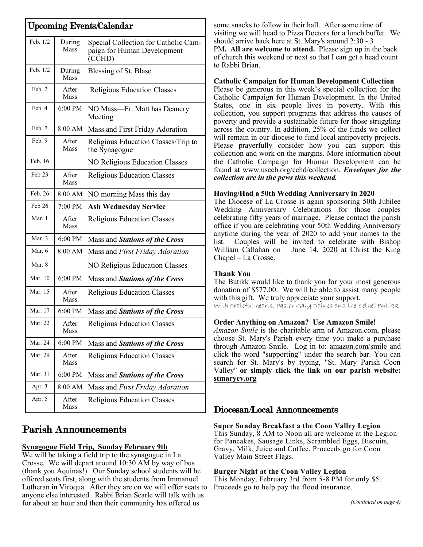| <b>Upcoming Events/Calendar</b> |                   |                                                                               |
|---------------------------------|-------------------|-------------------------------------------------------------------------------|
| Feb. 1/2                        | During<br>Mass    | Special Collection for Catholic Cam-<br>paign for Human Development<br>(CCHD) |
| Feb. 1/2                        | During<br>Mass    | Blessing of St. Blase                                                         |
| Feb. 2                          | After<br>Mass     | <b>Religious Education Classes</b>                                            |
| Feb. 4                          | $6:00$ PM         | NO Mass—Fr. Matt has Deanery<br>Meeting                                       |
| Feb. 7                          | 8:00 AM           | Mass and First Friday Adoration                                               |
| Feb. 9                          | After<br>Mass     | Religious Education Classes/Trip to<br>the Synagogue                          |
| Feb. 16                         |                   | <b>NO Religious Education Classes</b>                                         |
| Feb 23                          | After<br>Mass     | <b>Religious Education Classes</b>                                            |
| Feb. 26                         | 8:00 AM           | NO morning Mass this day                                                      |
| Feb 26                          | 7:00 PM           | <b>Ash Wednesday Service</b>                                                  |
| Mar. 1                          | After<br>Mass     | <b>Religious Education Classes</b>                                            |
| Mar. 3                          | $6:00 \text{ PM}$ | Mass and Stations of the Cross                                                |
| Mar. 6                          | 8:00 AM           | Mass and First Friday Adoration                                               |
| Mar. 8                          |                   | NO Religious Education Classes                                                |
| Mar. 10                         | $6:00$ PM         | Mass and Stations of the Cross                                                |
| Mar. 15                         | After<br>Mass     | <b>Religious Education Classes</b>                                            |
| Mar. 17                         | 6:00 PM           | Mass and Stations of the Cross                                                |
| Mar. 22                         | After<br>Mass     | <b>Religious Education Classes</b>                                            |
| Mar. 24                         | 6:00 PM           | Mass and Stations of the Cross                                                |
| Mar. 29                         | After<br>Mass     | <b>Religious Education Classes</b>                                            |
| Mar. 31                         | 6:00 PM           | Mass and Stations of the Cross                                                |
| Apr. 3                          | 8:00 AM           | Mass and First Friday Adoration                                               |
| Apr. 5                          | After<br>Mass     | <b>Religious Education Classes</b>                                            |

# Parish Announcements

## **Synagogue Field Trip, Sunday February 9th**

We will be taking a field trip to the synagogue in La Crosse. We will depart around 10:30 AM by way of bus (thank you Aquinas!). Our Sunday school students will be offered seats first, along with the students from Immanuel Lutheran in Viroqua. After they are on we will offer seats to anyone else interested. Rabbi Brian Searle will talk with us for about an hour and then their community has offered us

some snacks to follow in their hall. After some time of visiting we will head to Pizza Doctors for a lunch buffet. We should arrive back here at St. Mary's around 2:30 - 3 PM*.* **All are welcome to attend.** Please sign up in the back of church this weekend or next so that I can get a head count to Rabbi Brian.

### **Catholic Campaign for Human Development Collection**

Please be generous in this week's special collection for the Catholic Campaign for Human Development. In the United States, one in six people lives in poverty. With this collection, you support programs that address the causes of poverty and provide a sustainable future for those struggling across the country. In addition, 25% of the funds we collect will remain in our diocese to fund local antipoverty projects. Please prayerfully consider how you can support this collection and work on the margins. More information about the Catholic Campaign for Human Development can be found at www.usccb.org/cchd/collection. *Envelopes for the collection are in the pews this weekend.* 

#### **Having/Had a 50th Wedding Anniversary in 2020**

The Diocese of La Crosse is again sponsoring 50th Jubilee Wedding Anniversary Celebrations for those couples celebrating fifty years of marriage. Please contact the parish office if you are celebrating your 50th Wedding Anniversary anytime during the year of 2020 to add your names to the list. Couples will be invited to celebrate with Bishop William Callahan on June 14, 2020 at Christ the King Chapel – La Crosse.

#### **Thank You**

The Butikk would like to thank you for your most generous donation of \$577.00. We will be able to assist many people with this gift. We truly appreciate your support.

With grateful hearts, Pastor Gary Daines and the Bethel Butikk

#### **Order Anything on Amazon? Use Amazon Smile!**

*Amazon Smile* is the charitable arm of Amazon.com, please choose St. Mary's Parish every time you make a purchase through Amazon Smile. Log in to: [amazon.com/smile](http://amazon.com/smile) and click the word "supporting" under the search bar. You can search for St. Mary's by typing, "St. Mary Parish Coon Valley" **or simply click the link on our parish website: <stmarycv.org>**

## Diocesan/Local Announcements

**Super Sunday Breakfast a the Coon Valley Legion** This Sunday, 8 AM to Noon all are welcome at the Legion for Pancakes, Sausage Links, Scrambled Eggs, Biscuits, Gravy, Milk, Juice and Coffee. Proceeds go for Coon Valley Main Street Flags.

#### **Burger Night at the Coon Valley Legion**

This Monday, February 3rd from 5-8 PM for only \$5. Proceeds go to help pay the flood insurance.